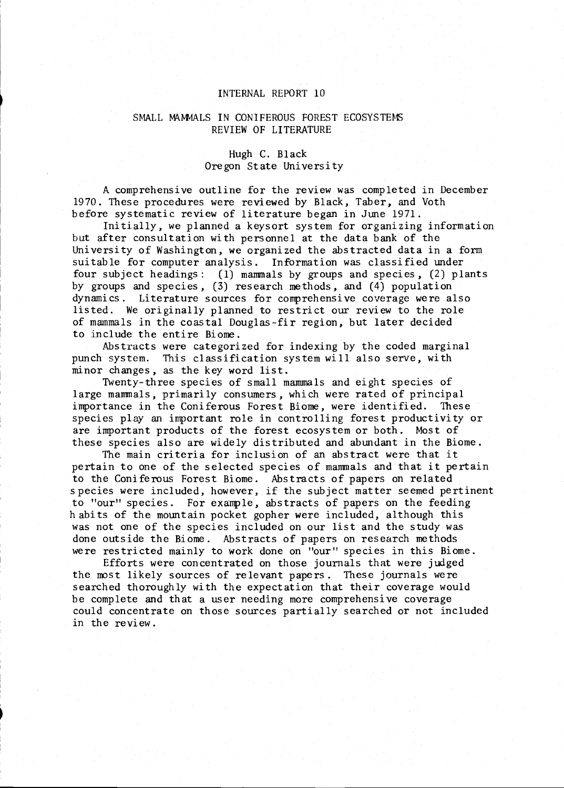## INTERNAL REPORT 10

### SMALL MAMMALS IN CONIFEROUS FOREST ECOSYSTEMS REVIEW OF LITERATURE

# Hugh C. Black<br>Oregon State University

A comprehensive outline for the review was completed in December 1970. These procedures were reviewed by Black, Taber, and Voth<br>before systematic review of literature began in June 1971.<br>Initially, we planned a keysort system for organizing information

but after consultation with personnel at the data bank of the University of Washington, we organized the abstracted data in a form suitable for computer analysis. Information was classified under four subject headings : (1) mammals by groups and species, (2) plants by groups and species, (3) research methods, and (4) population dynamics. Literature sources for comprehensive coverage were also listed. We originally planned to restrict our review to the role of mammals in the coastal Douglas-fir region, but later decided to include the entire Biome.

Abstracts were categorized for indexing by the coded marginal punch system. This classification system will also serve, with minor changes, as the key word list.

Twenty-three species of small mammals and eight species of large mammals, primarily consumers, which were rated of principal importance in the Coniferous Forest Biome, were identified. These species play an important role in controlling forest productivity or are important products of the forest ecosystem or both. Most of these species also are widely distributed and abundant in the Biome. The main criteria for inclusion of an abstract were that it

pertain to one of the selected species of mammals and that it pertain to the Coniferous Forest Biome. Abstracts of papers on related species were included, however, if the subject matter seemed pertinent to "our" species. For example, abstracts of papers on the feeding habits of the mountain pocket gopher were included, although this was not one of the species included on our list and the study was done outside the Biome. Abstracts of papers on research methods were restricted mainly to work done on "our" species in this Biome.<br>Efforts were concentrated on those journals that were judged

the most likely sources of relevant papers. These journals were searched thoroughly with the expectation that their coverage would be complete and that a user needing more comprehensive coverage could concentrate on those sources partially searched or not included in the review.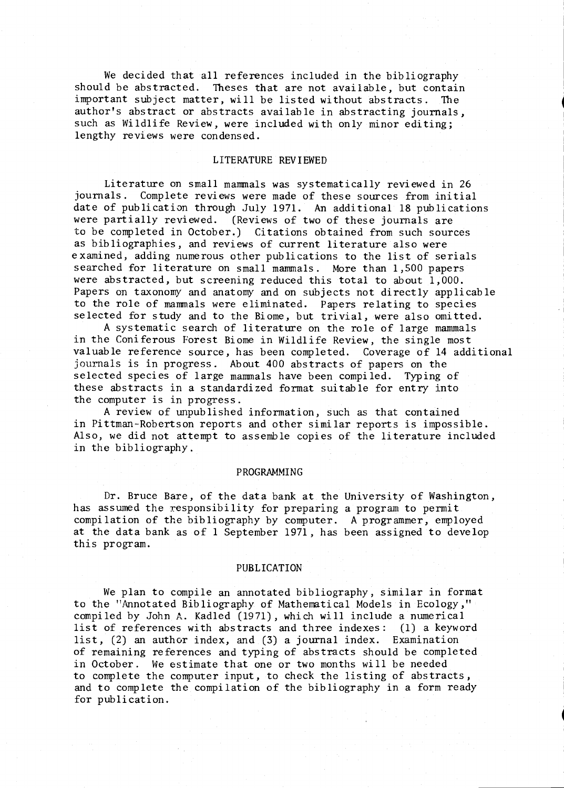We decided that all references included in the bibliography should be abstracted. Theses that are not available, but contain important subject matter, will be listed without abstracts. The author's abstract or abstracts available in abstracting journals, such as Wildlife Review, were included with only minor editing; lengthy reviews were condensed.

#### LITERATURE REVIEWED

Literature on small mammals was systematically reviewed in 26 journals. Complete reviews were made of these sources from initial date of publication through July 1971. An additional 18 publications were partially reviewed. (Reviews of two of these journals are to be completed in October.) Citations obtained from such sources as bibliographies, and reviews of current literature also were examined, adding numerous other publications to the list of serials searched for literature on small mammals. More than 1,500 papers were abstracted, but screening reduced this total to about 1,000. Papers on taxonomy and anatomy and on subjects not directly applicable to the role of mammals were eliminated. Papers relating to species selected for study and to the Biome, but trivial, were also omitted.

A systematic search of literature on the role of large mammals in the Coniferous Forest Biome in Wildlife Review, the single most valuable reference source, has been completed. Coverage of 14 additional journals is in progress. About 400 abstracts of papers on the selected species of large mammals have been compiled. Typing of these abstracts in a standardized format suitable for entry into the computer is in progress.

A review of unpublished information, such as that contained in Pittman-Robertson reports and other similar reports is impossible. Also, we did not attempt to assemble copies of the literature included in the bibliography.

#### PROGRAMMING

Dr. Bruce Bare, of the data bank at the University of Washington, has assumed the responsibility for preparing a program to permit compilation of the bibliography by computer. A programmer, employed at the data bank as of 1 September 1971, has been assigned to develop this program.

#### PUBLICATION

We plan to compile an annotated bibliography, similar in format to the "Annotated Bibliography of Mathematical Models in Ecology," compiled by John A. Kadled (1971), which will include a numerical list of references with abstracts and three indexes: (1) a keyword list, (2) an author index, and (3) a journal index. Examination of remaining references and typing of abstracts should be completed in October. We estimate that one or two months will be needed<br>to complete the computer input, to check the listing of abstracts, and to complete the compilation of the bibliography in a form ready for publication.